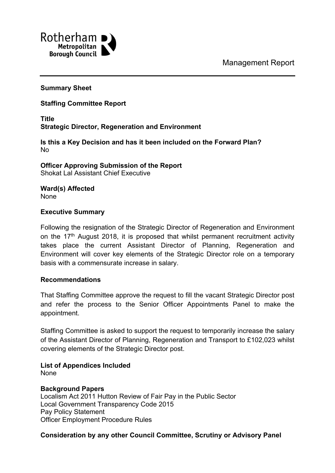Management Report



### **Summary Sheet**

## **Staffing Committee Report**

**Title Strategic Director, Regeneration and Environment**

**Is this a Key Decision and has it been included on the Forward Plan?** No

**Officer Approving Submission of the Report** Shokat Lal Assistant Chief Executive

**Ward(s) Affected** None

### **Executive Summary**

Following the resignation of the Strategic Director of Regeneration and Environment on the  $17<sup>th</sup>$  August 2018, it is proposed that whilst permanent recruitment activity takes place the current Assistant Director of Planning, Regeneration and Environment will cover key elements of the Strategic Director role on a temporary basis with a commensurate increase in salary.

### **Recommendations**

That Staffing Committee approve the request to fill the vacant Strategic Director post and refer the process to the Senior Officer Appointments Panel to make the appointment.

Staffing Committee is asked to support the request to temporarily increase the salary of the Assistant Director of Planning, Regeneration and Transport to £102,023 whilst covering elements of the Strategic Director post.

# **List of Appendices Included**

None

### **Background Papers**

Localism Act 2011 Hutton Review of Fair Pay in the Public Sector Local Government Transparency Code 2015 Pay Policy Statement Officer Employment Procedure Rules

### **Consideration by any other Council Committee, Scrutiny or Advisory Panel**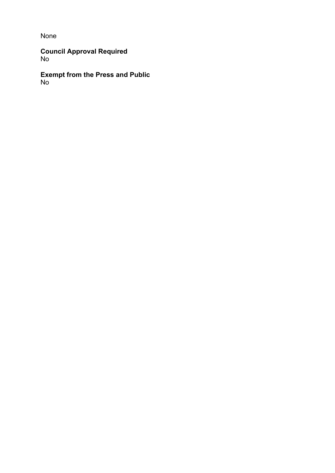None

**Council Approval Required** No

**Exempt from the Press and Public** No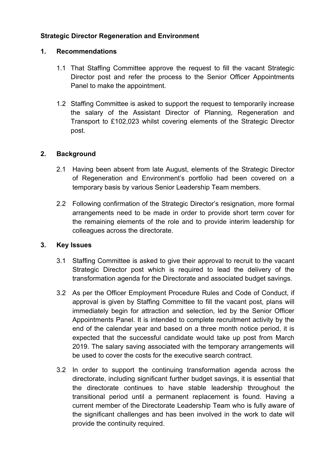## **Strategic Director Regeneration and Environment**

## **1. Recommendations**

- 1.1 That Staffing Committee approve the request to fill the vacant Strategic Director post and refer the process to the Senior Officer Appointments Panel to make the appointment.
- 1.2 Staffing Committee is asked to support the request to temporarily increase the salary of the Assistant Director of Planning, Regeneration and Transport to £102,023 whilst covering elements of the Strategic Director post.

## **2. Background**

- 2.1 Having been absent from late August, elements of the Strategic Director of Regeneration and Environment's portfolio had been covered on a temporary basis by various Senior Leadership Team members.
- 2.2 Following confirmation of the Strategic Director's resignation, more formal arrangements need to be made in order to provide short term cover for the remaining elements of the role and to provide interim leadership for colleagues across the directorate.

## **3. Key Issues**

- 3.1 Staffing Committee is asked to give their approval to recruit to the vacant Strategic Director post which is required to lead the delivery of the transformation agenda for the Directorate and associated budget savings.
- 3.2 As per the Officer Employment Procedure Rules and Code of Conduct, if approval is given by Staffing Committee to fill the vacant post, plans will immediately begin for attraction and selection, led by the Senior Officer Appointments Panel. It is intended to complete recruitment activity by the end of the calendar year and based on a three month notice period, it is expected that the successful candidate would take up post from March 2019. The salary saving associated with the temporary arrangements will be used to cover the costs for the executive search contract.
- 3.2 In order to support the continuing transformation agenda across the directorate, including significant further budget savings, it is essential that the directorate continues to have stable leadership throughout the transitional period until a permanent replacement is found. Having a current member of the Directorate Leadership Team who is fully aware of the significant challenges and has been involved in the work to date will provide the continuity required.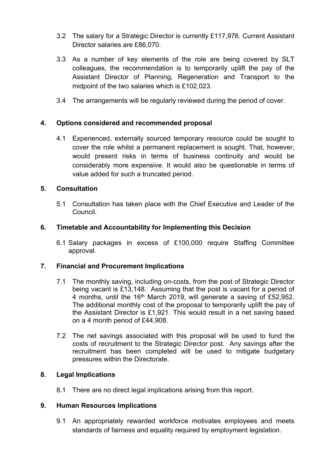- 3.2 The salary for a Strategic Director is currently £117,976. Current Assistant Director salaries are £86,070.
- 3.3 As a number of key elements of the role are being covered by SLT colleagues, the recommendation is to temporarily uplift the pay of the Assistant Director of Planning, Regeneration and Transport to the midpoint of the two salaries which is £102,023.
- 3.4 The arrangements will be regularly reviewed during the period of cover.

## **4. Options considered and recommended proposal**

4.1 Experienced, externally sourced temporary resource could be sought to cover the role whilst a permanent replacement is sought. That, however, would present risks in terms of business continuity and would be considerably more expensive. It would also be questionable in terms of value added for such a truncated period.

## **5. Consultation**

5.1 Consultation has taken place with the Chief Executive and Leader of the Council.

## **6. Timetable and Accountability for Implementing this Decision**

6.1 Salary packages in excess of £100,000 require Staffing Committee approval.

## **7. Financial and Procurement Implications**

- 7.1 The monthly saving, including on-costs, from the post of Strategic Director being vacant is £13,148. Assuming that the post is vacant for a period of 4 months, until the  $16<sup>th</sup>$  March 2019, will generate a saving of £52,952. The additional monthly cost of the proposal to temporarily uplift the pay of the Assistant Director is £1,921. This would result in a net saving based on a 4 month period of £44,908.
- 7.2 The net savings associated with this proposal will be used to fund the costs of recruitment to the Strategic Director post. Any savings after the recruitment has been completed will be used to mitigate budgetary pressures within the Directorate.

### **8. Legal Implications**

8.1 There are no direct legal implications arising from this report.

### **9. Human Resources Implications**

9.1 An appropriately rewarded workforce motivates employees and meets standards of fairness and equality required by employment legislation.